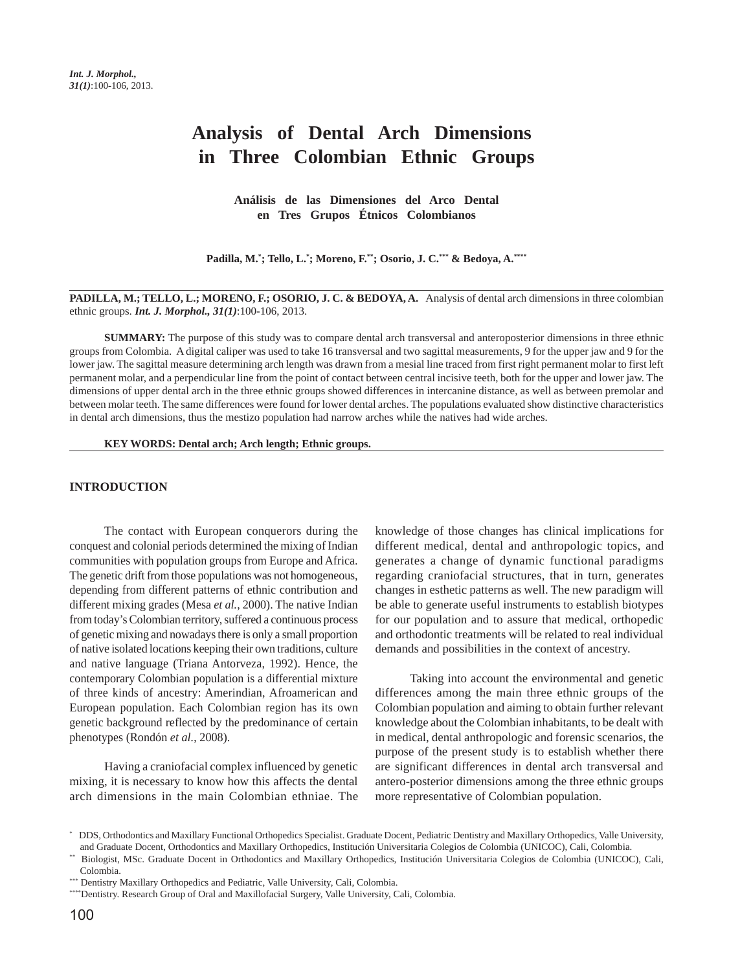# **Analysis of Dental Arch Dimensions in Three Colombian Ethnic Groups**

**Análisis de las Dimensiones del Arco Dental en Tres Grupos Étnicos Colombianos**

**Padilla, M.\* ; Tello, L.\* ; Moreno, F.\*\*; Osorio, J. C.\*\*\* & Bedoya, A.\*\*\*\***

**PADILLA, M.; TELLO, L.; MORENO, F.; OSORIO, J. C. & BEDOYA, A.** Analysis of dental arch dimensions in three colombian ethnic groups. *Int. J. Morphol., 31(1)*:100-106, 2013.

**SUMMARY:** The purpose of this study was to compare dental arch transversal and anteroposterior dimensions in three ethnic groups from Colombia. A digital caliper was used to take 16 transversal and two sagittal measurements, 9 for the upper jaw and 9 for the lower jaw. The sagittal measure determining arch length was drawn from a mesial line traced from first right permanent molar to first left permanent molar, and a perpendicular line from the point of contact between central incisive teeth, both for the upper and lower jaw. The dimensions of upper dental arch in the three ethnic groups showed differences in intercanine distance, as well as between premolar and between molar teeth. The same differences were found for lower dental arches. The populations evaluated show distinctive characteristics in dental arch dimensions, thus the mestizo population had narrow arches while the natives had wide arches.

**KEY WORDS: Dental arch; Arch length; Ethnic groups.**

#### **INTRODUCTION**

The contact with European conquerors during the conquest and colonial periods determined the mixing of Indian communities with population groups from Europe and Africa. The genetic drift from those populations was not homogeneous, depending from different patterns of ethnic contribution and different mixing grades (Mesa *et al.*, 2000). The native Indian from today's Colombian territory, suffered a continuous process of genetic mixing and nowadays there is only a small proportion of native isolated locations keeping their own traditions, culture and native language (Triana Antorveza, 1992). Hence, the contemporary Colombian population is a differential mixture of three kinds of ancestry: Amerindian, Afroamerican and European population. Each Colombian region has its own genetic background reflected by the predominance of certain phenotypes (Rondón *et al.*, 2008).

Having a craniofacial complex influenced by genetic mixing, it is necessary to know how this affects the dental arch dimensions in the main Colombian ethniae. The knowledge of those changes has clinical implications for different medical, dental and anthropologic topics, and generates a change of dynamic functional paradigms regarding craniofacial structures, that in turn, generates changes in esthetic patterns as well. The new paradigm will be able to generate useful instruments to establish biotypes for our population and to assure that medical, orthopedic and orthodontic treatments will be related to real individual demands and possibilities in the context of ancestry.

Taking into account the environmental and genetic differences among the main three ethnic groups of the Colombian population and aiming to obtain further relevant knowledge about the Colombian inhabitants, to be dealt with in medical, dental anthropologic and forensic scenarios, the purpose of the present study is to establish whether there are significant differences in dental arch transversal and antero-posterior dimensions among the three ethnic groups more representative of Colombian population.

<sup>\*</sup> DDS, Orthodontics and Maxillary Functional Orthopedics Specialist. Graduate Docent, Pediatric Dentistry and Maxillary Orthopedics, Valle University, and Graduate Docent, Orthodontics and Maxillary Orthopedics, Institución Universitaria Colegios de Colombia (UNICOC), Cali, Colombia.

<sup>\*\*</sup> Biologist, MSc. Graduate Docent in Orthodontics and Maxillary Orthopedics, Institución Universitaria Colegios de Colombia (UNICOC), Cali, Colombia.

<sup>\*\*\*</sup> Dentistry Maxillary Orthopedics and Pediatric, Valle University, Cali, Colombia.

<sup>\*\*\*\*</sup>Dentistry. Research Group of Oral and Maxillofacial Surgery, Valle University, Cali, Colombia.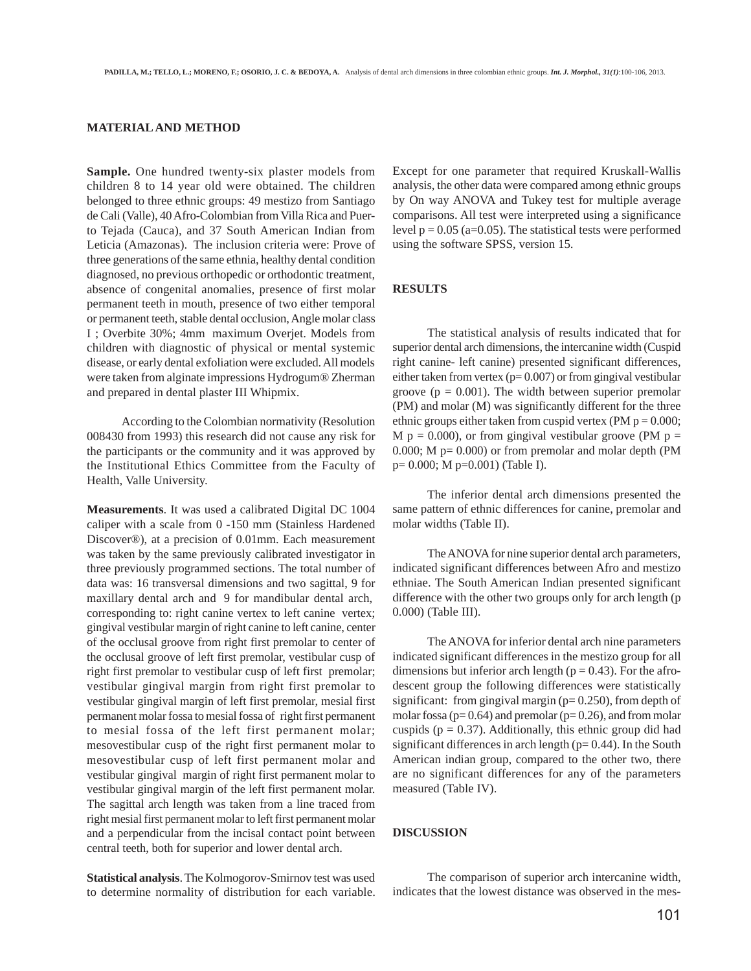## **MATERIAL AND METHOD**

**Sample.** One hundred twenty-six plaster models from children 8 to 14 year old were obtained. The children belonged to three ethnic groups: 49 mestizo from Santiago de Cali (Valle), 40 Afro-Colombian from Villa Rica and Puerto Tejada (Cauca), and 37 South American Indian from Leticia (Amazonas). The inclusion criteria were: Prove of three generations of the same ethnia, healthy dental condition diagnosed, no previous orthopedic or orthodontic treatment, absence of congenital anomalies, presence of first molar permanent teeth in mouth, presence of two either temporal or permanent teeth, stable dental occlusion, Angle molar class I ; Overbite 30%; 4mm maximum Overjet. Models from children with diagnostic of physical or mental systemic disease, or early dental exfoliation were excluded. All models were taken from alginate impressions Hydrogum® Zherman and prepared in dental plaster III Whipmix.

According to the Colombian normativity (Resolution 008430 from 1993) this research did not cause any risk for the participants or the community and it was approved by the Institutional Ethics Committee from the Faculty of Health, Valle University.

**Measurements**. It was used a calibrated Digital DC 1004 caliper with a scale from 0 -150 mm (Stainless Hardened Discover®), at a precision of 0.01mm. Each measurement was taken by the same previously calibrated investigator in three previously programmed sections. The total number of data was: 16 transversal dimensions and two sagittal, 9 for maxillary dental arch and 9 for mandibular dental arch, corresponding to: right canine vertex to left canine vertex; gingival vestibular margin of right canine to left canine, center of the occlusal groove from right first premolar to center of the occlusal groove of left first premolar, vestibular cusp of right first premolar to vestibular cusp of left first premolar; vestibular gingival margin from right first premolar to vestibular gingival margin of left first premolar, mesial first permanent molar fossa to mesial fossa of right first permanent to mesial fossa of the left first permanent molar; mesovestibular cusp of the right first permanent molar to mesovestibular cusp of left first permanent molar and vestibular gingival margin of right first permanent molar to vestibular gingival margin of the left first permanent molar. The sagittal arch length was taken from a line traced from right mesial first permanent molar to left first permanent molar and a perpendicular from the incisal contact point between central teeth, both for superior and lower dental arch.

**Statistical analysis**. The Kolmogorov-Smirnov test was used to determine normality of distribution for each variable.

Except for one parameter that required Kruskall-Wallis analysis, the other data were compared among ethnic groups by On way ANOVA and Tukey test for multiple average comparisons. All test were interpreted using a significance level  $p = 0.05$  (a=0.05). The statistical tests were performed using the software SPSS, version 15.

## **RESULTS**

The statistical analysis of results indicated that for superior dental arch dimensions, the intercanine width (Cuspid right canine- left canine) presented significant differences, either taken from vertex ( $p= 0.007$ ) or from gingival vestibular groove ( $p = 0.001$ ). The width between superior premolar (PM) and molar (M) was significantly different for the three ethnic groups either taken from cuspid vertex (PM  $p = 0.000$ ; M  $p = 0.000$ ), or from gingival vestibular groove (PM  $p =$ 0.000; M p= 0.000) or from premolar and molar depth (PM p= 0.000; M p=0.001) (Table I).

The inferior dental arch dimensions presented the same pattern of ethnic differences for canine, premolar and molar widths (Table II).

The ANOVA for nine superior dental arch parameters, indicated significant differences between Afro and mestizo ethniae. The South American Indian presented significant difference with the other two groups only for arch length (p 0.000) (Table III).

The ANOVA for inferior dental arch nine parameters indicated significant differences in the mestizo group for all dimensions but inferior arch length ( $p = 0.43$ ). For the afrodescent group the following differences were statistically significant: from gingival margin ( $p= 0.250$ ), from depth of molar fossa ( $p= 0.64$ ) and premolar ( $p= 0.26$ ), and from molar cuspids ( $p = 0.37$ ). Additionally, this ethnic group did had significant differences in arch length ( $p= 0.44$ ). In the South American indian group, compared to the other two, there are no significant differences for any of the parameters measured (Table IV).

#### **DISCUSSION**

The comparison of superior arch intercanine width, indicates that the lowest distance was observed in the mes-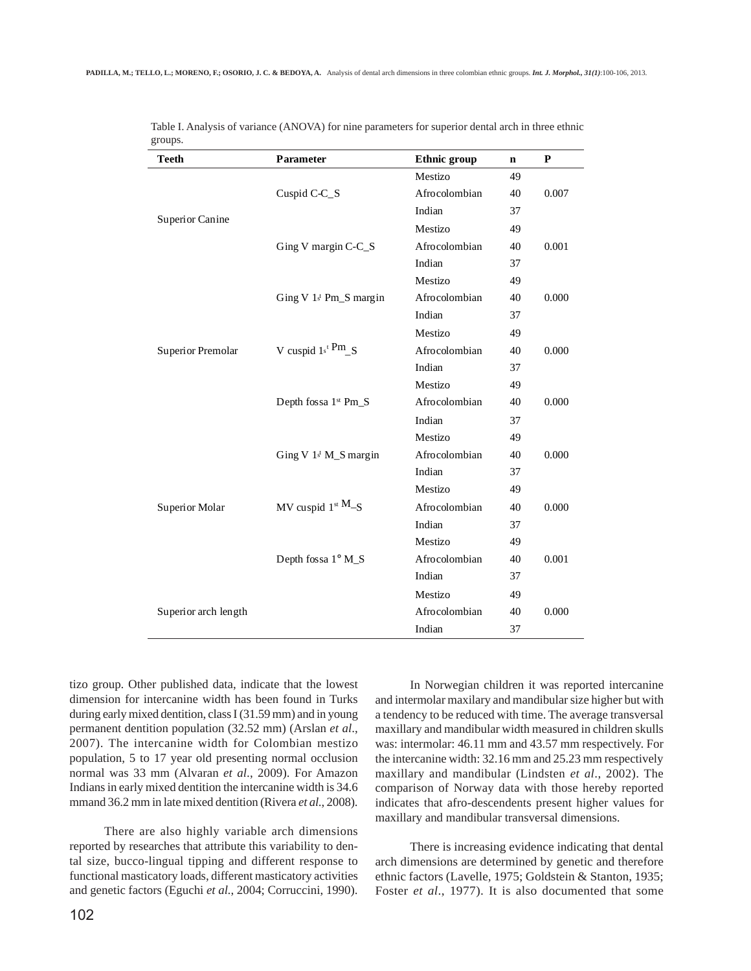| $\cdots$<br><b>Teeth</b> | Parameter                                  | <b>Ethnic group</b> | $\mathbf n$ | P     |
|--------------------------|--------------------------------------------|---------------------|-------------|-------|
|                          |                                            | Mestizo             | 49          |       |
|                          | Cuspid C-C_S                               | Afrocolombian       | 40          | 0.007 |
|                          |                                            | Indian              | 37          |       |
| Superior Canine          |                                            | Mestizo             | 49          |       |
|                          | Ging V margin C-C_S                        | Afrocolombian       | 40          | 0.001 |
|                          |                                            | Indian              | 37          |       |
|                          |                                            | Mestizo             | 49          |       |
|                          | Ging V $1t$ Pm_S margin                    | Afrocolombian       | 40          | 0.000 |
|                          |                                            | Indian              | 37          |       |
|                          |                                            | Mestizo             | 49          |       |
| Superior Premolar        | V cuspid $1s^t$ <sup>Pm</sup> <sub>S</sub> | Afrocolombian       | 40          | 0.000 |
|                          |                                            | Indian              | 37          |       |
|                          |                                            | Mestizo             | 49          |       |
|                          | Depth fossa 1st Pm_S                       | Afrocolombian       | 40          | 0.000 |
|                          |                                            | Indian              | 37          |       |
|                          |                                            | Mestizo             | 49          |       |
|                          | Ging V 1st M_S margin                      | Afrocolombian       | 40          | 0.000 |
|                          |                                            | Indian              | 37          |       |
|                          |                                            | Mestizo             | 49          |       |
| Superior Molar           | MV cuspid $1^{st}$ M-S                     | Afrocolombian       | 40          | 0.000 |
|                          |                                            | Indian              | 37          |       |
|                          |                                            | Mestizo             | 49          |       |
|                          | Depth fossa 1° M_S                         | Afrocolombian       | 40          | 0.001 |
|                          |                                            | Indian              | 37          |       |
|                          |                                            | Mestizo             | 49          |       |
| Superior arch length     |                                            | Afrocolombian       | 40          | 0.000 |
|                          |                                            | Indian              | 37          |       |

| Table I. Analysis of variance (ANOVA) for nine parameters for superior dental arch in three ethnic |  |  |  |
|----------------------------------------------------------------------------------------------------|--|--|--|
| groups.                                                                                            |  |  |  |

tizo group. Other published data, indicate that the lowest dimension for intercanine width has been found in Turks during early mixed dentition, class I (31.59 mm) and in young permanent dentition population (32.52 mm) (Arslan *et al*., 2007). The intercanine width for Colombian mestizo population, 5 to 17 year old presenting normal occlusion normal was 33 mm (Alvaran *et al*., 2009). For Amazon Indians in early mixed dentition the intercanine width is 34.6 mmand 36.2 mm in late mixed dentition (Rivera *et al.*, 2008).

There are also highly variable arch dimensions reported by researches that attribute this variability to dental size, bucco-lingual tipping and different response to functional masticatory loads, different masticatory activities and genetic factors (Eguchi *et al.*, 2004; Corruccini, 1990).

In Norwegian children it was reported intercanine and intermolar maxilary and mandibular size higher but with a tendency to be reduced with time. The average transversal maxillary and mandibular width measured in children skulls was: intermolar: 46.11 mm and 43.57 mm respectively. For the intercanine width: 32.16 mm and 25.23 mm respectively maxillary and mandibular (Lindsten *et al*., 2002). The comparison of Norway data with those hereby reported indicates that afro-descendents present higher values for maxillary and mandibular transversal dimensions.

There is increasing evidence indicating that dental arch dimensions are determined by genetic and therefore ethnic factors (Lavelle, 1975; Goldstein & Stanton, 1935; Foster *et al*., 1977). It is also documented that some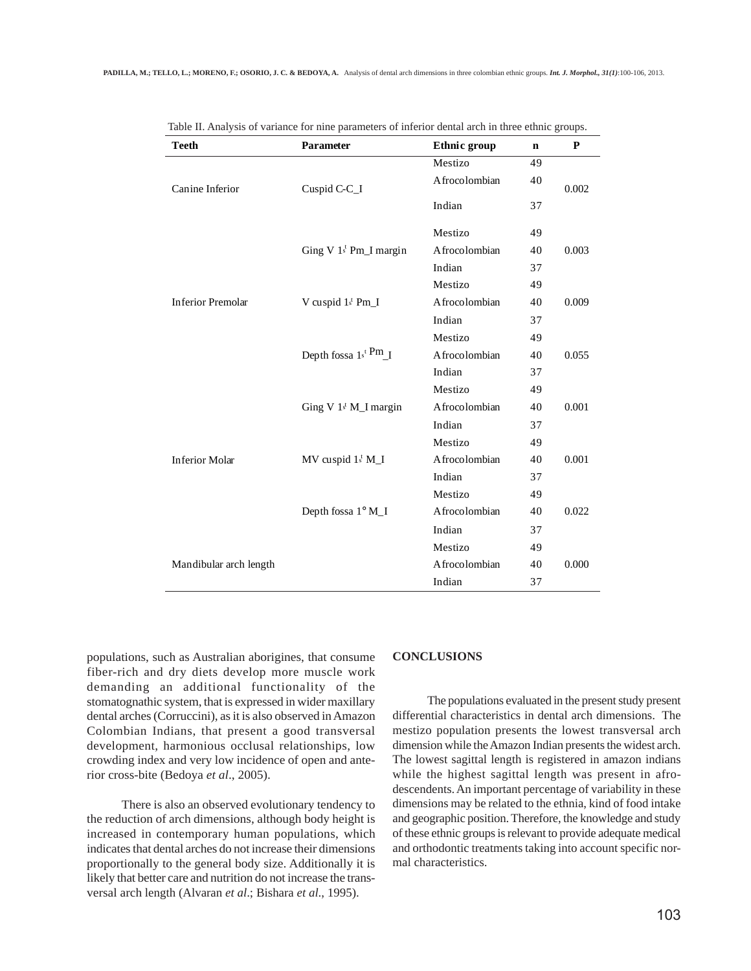| <b>Teeth</b>             | Parameter                          | Ethnic group  | $\mathbf n$ | ${\bf P}$ |  |  |
|--------------------------|------------------------------------|---------------|-------------|-----------|--|--|
|                          |                                    | Mestizo       | 49          |           |  |  |
| Canine Inferior          | Cuspid C-C_I                       | Afrocolombian | 40          | 0.002     |  |  |
|                          |                                    | Indian        | 37          |           |  |  |
|                          |                                    | Mestizo       | 49          |           |  |  |
|                          | Ging V 1st Pm_I margin             | Afrocolombian | 40          | 0.003     |  |  |
|                          |                                    | Indian        | 37          |           |  |  |
|                          |                                    | Mestizo       | 49          |           |  |  |
| <b>Inferior Premolar</b> | V cuspid 1st Pm_I                  | Afrocolombian | 40          | 0.009     |  |  |
|                          |                                    | Indian        | 37          |           |  |  |
|                          |                                    | Mestizo       | 49          |           |  |  |
|                          | Depth fossa $1s^t$ Pm $\text{I}$   | Afrocolombian | 40          | 0.055     |  |  |
|                          |                                    | Indian        | 37          |           |  |  |
|                          |                                    | Mestizo       | 49          |           |  |  |
|                          | Ging V $1$ <sup>t</sup> M_I margin | Afrocolombian | 40          | 0.001     |  |  |
|                          |                                    | Indian        | 37          |           |  |  |
|                          |                                    | Mestizo       | 49          |           |  |  |
| <b>Inferior Molar</b>    | $MV$ cuspid $1t M_I$               | Afrocolombian | 40          | 0.001     |  |  |
|                          |                                    | Indian        | 37          |           |  |  |
|                          |                                    | Mestizo       | 49          |           |  |  |
|                          | Depth fossa 1° M_I                 | Afrocolombian | 40          | 0.022     |  |  |
|                          |                                    | Indian        | 37          |           |  |  |
|                          |                                    | Mestizo       | 49          |           |  |  |
| Mandibular arch length   |                                    | Afrocolombian | 40          | 0.000     |  |  |
|                          |                                    | Indian        | 37          |           |  |  |

|  |  |  | Table II. Analysis of variance for nine parameters of inferior dental arch in three ethnic groups. |  |  |  |  |
|--|--|--|----------------------------------------------------------------------------------------------------|--|--|--|--|
|  |  |  |                                                                                                    |  |  |  |  |

populations, such as Australian aborigines, that consume fiber-rich and dry diets develop more muscle work demanding an additional functionality of the stomatognathic system, that is expressed in wider maxillary dental arches (Corruccini), as it is also observed in Amazon Colombian Indians, that present a good transversal development, harmonious occlusal relationships, low crowding index and very low incidence of open and anterior cross-bite (Bedoya *et al*., 2005).

There is also an observed evolutionary tendency to the reduction of arch dimensions, although body height is increased in contemporary human populations, which indicates that dental arches do not increase their dimensions proportionally to the general body size. Additionally it is likely that better care and nutrition do not increase the transversal arch length (Alvaran *et al*.; Bishara *et al*., 1995).

#### **CONCLUSIONS**

The populations evaluated in the present study present differential characteristics in dental arch dimensions. The mestizo population presents the lowest transversal arch dimension while the Amazon Indian presents the widest arch. The lowest sagittal length is registered in amazon indians while the highest sagittal length was present in afrodescendents. An important percentage of variability in these dimensions may be related to the ethnia, kind of food intake and geographic position. Therefore, the knowledge and study of these ethnic groups is relevant to provide adequate medical and orthodontic treatments taking into account specific normal characteristics.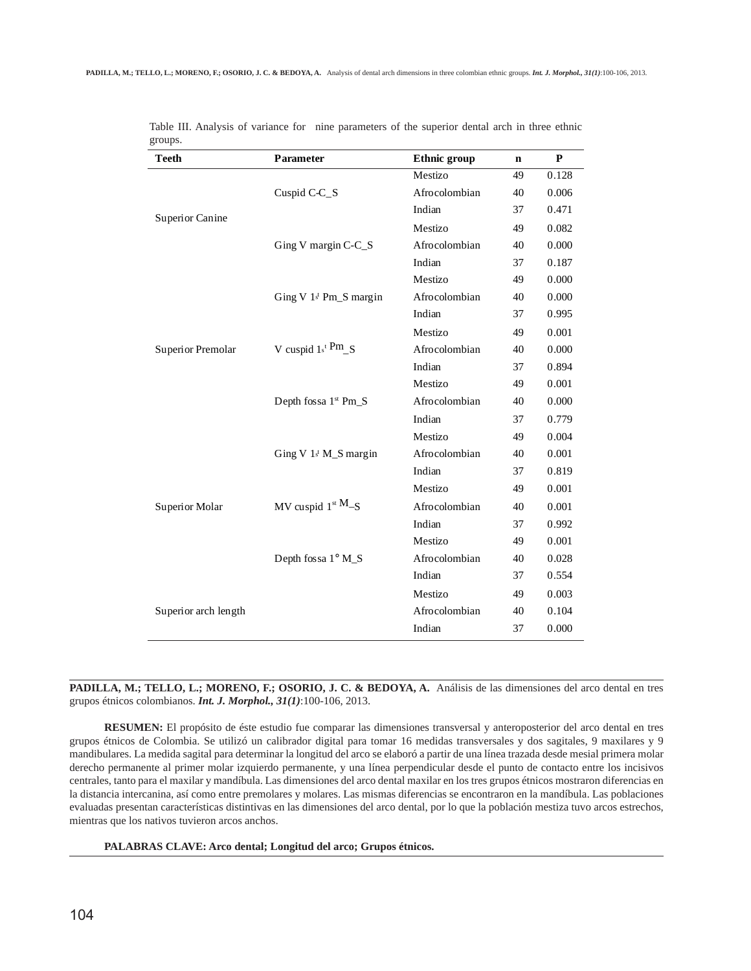| Parameter               | <b>Ethnic</b> group | $\mathbf n$ | P     |
|-------------------------|---------------------|-------------|-------|
|                         | Mestizo             | 49          | 0.128 |
| Cuspid C-C_S            | Afrocolombian       | 40          | 0.006 |
|                         | Indian              | 37          | 0.471 |
|                         | Mestizo             | 49          | 0.082 |
| Ging V margin C-C_S     | Afrocolombian       | 40          | 0.000 |
|                         | Indian              | 37          | 0.187 |
|                         | Mestizo             | 49          | 0.000 |
| Ging V $1t$ Pm_S margin | Afrocolombian       | 40          | 0.000 |
|                         | Indian              | 37          | 0.995 |
|                         | Mestizo             | 49          | 0.001 |
| V cuspid $1s^t$ Pm_S    | Afrocolombian       | 40          | 0.000 |
|                         | Indian              | 37          | 0.894 |
| Depth fossa 1st Pm_S    | Mestizo             | 49          | 0.001 |
|                         | Afrocolombian       | 40          | 0.000 |
|                         | Indian              | 37          | 0.779 |
|                         | Mestizo             | 49          | 0.004 |
| Ging V 1st M_S margin   | Afrocolombian       | 40          | 0.001 |
|                         | Indian              | 37          | 0.819 |
| MV cuspid $1^{st}$ M-S  | Mestizo             | 49          | 0.001 |
|                         | Afrocolombian       | 40          | 0.001 |
|                         | Indian              | 37          | 0.992 |
|                         | Mestizo             | 49          | 0.001 |
| Depth fossa 1° M_S      | Afrocolombian       | 40          | 0.028 |
|                         | Indian              | 37          | 0.554 |
|                         | Mestizo             | 49          | 0.003 |
|                         | Afrocolombian       | 40          | 0.104 |
|                         | Indian              | 37          | 0.000 |
|                         |                     |             |       |

Table III. Analysis of variance for nine parameters of the superior dental arch in three ethnic groups.

PADILLA, M.; TELLO, L.; MORENO, F.; OSORIO, J. C. & BEDOYA, A. Análisis de las dimensiones del arco dental en tres grupos étnicos colombianos. *Int. J. Morphol., 31(1)*:100-106, 2013.

**RESUMEN:** El propósito de éste estudio fue comparar las dimensiones transversal y anteroposterior del arco dental en tres grupos étnicos de Colombia. Se utilizó un calibrador digital para tomar 16 medidas transversales y dos sagitales, 9 maxilares y 9 mandibulares. La medida sagital para determinar la longitud del arco se elaboró a partir de una línea trazada desde mesial primera molar derecho permanente al primer molar izquierdo permanente, y una línea perpendicular desde el punto de contacto entre los incisivos centrales, tanto para el maxilar y mandíbula. Las dimensiones del arco dental maxilar en los tres grupos étnicos mostraron diferencias en la distancia intercanina, así como entre premolares y molares. Las mismas diferencias se encontraron en la mandíbula. Las poblaciones evaluadas presentan características distintivas en las dimensiones del arco dental, por lo que la población mestiza tuvo arcos estrechos, mientras que los nativos tuvieron arcos anchos.

**PALABRAS CLAVE: Arco dental; Longitud del arco; Grupos étnicos.**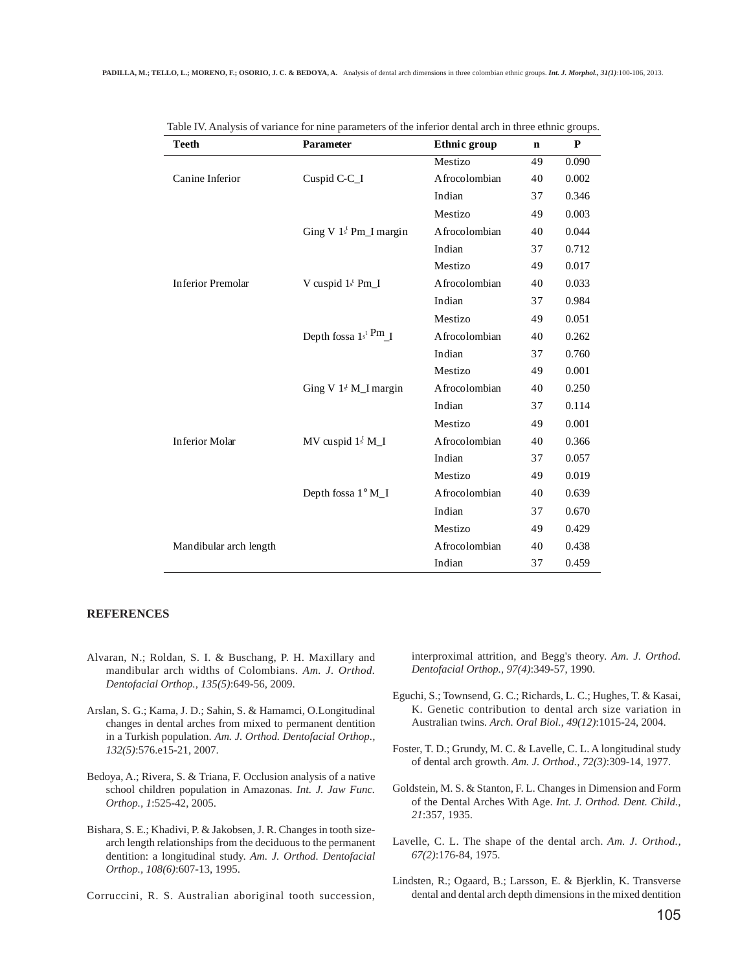| Teeth                    | <b>Parameter</b>            | Ethnic group  | n  | ${\bf P}$ |
|--------------------------|-----------------------------|---------------|----|-----------|
|                          |                             | Mestizo       | 49 | 0.090     |
| Canine Inferior          | Cuspid C-C_I                | Afrocolombian | 40 | 0.002     |
|                          |                             | Indian        | 37 | 0.346     |
|                          |                             | Mestizo       | 49 | 0.003     |
|                          | Ging V 1st Pm_I margin      | Afrocolombian | 40 | 0.044     |
|                          |                             | Indian        | 37 | 0.712     |
|                          |                             | Mestizo       | 49 | 0.017     |
| <b>Inferior Premolar</b> | V cuspid 1st Pm_I           | Afrocolombian | 40 | 0.033     |
|                          |                             | Indian        | 37 | 0.984     |
|                          |                             | Mestizo       | 49 | 0.051     |
|                          | Depth fossa $1^{s^t} P^m$ I | Afrocolombian | 40 | 0.262     |
|                          |                             | Indian        | 37 | 0.760     |
|                          |                             | Mestizo       | 49 | 0.001     |
|                          | Ging $V 1st M1$ margin      | Afrocolombian | 40 | 0.250     |
|                          |                             | Indian        | 37 | 0.114     |
|                          |                             | Mestizo       | 49 | 0.001     |
| <b>Inferior Molar</b>    | $MV$ cuspid $1^t$ M_I       | Afrocolombian | 40 | 0.366     |
|                          |                             | Indian        | 37 | 0.057     |
|                          |                             | Mestizo       | 49 | 0.019     |
|                          | Depth fossa 1° M_I          | Afrocolombian | 40 | 0.639     |
|                          |                             | Indian        | 37 | 0.670     |
|                          |                             | Mestizo       | 49 | 0.429     |
| Mandibular arch length   |                             | Afrocolombian | 40 | 0.438     |
|                          |                             | Indian        | 37 | 0.459     |

Table IV. Analysis of variance for nine parameters of the inferior dental arch in three ethnic groups.

## **REFERENCES**

- Alvaran, N.; Roldan, S. I. & Buschang, P. H. Maxillary and mandibular arch widths of Colombians. *Am. J. Orthod. Dentofacial Orthop., 135(5)*:649-56, 2009.
- Arslan, S. G.; Kama, J. D.; Sahin, S. & Hamamci, O.Longitudinal changes in dental arches from mixed to permanent dentition in a Turkish population. *Am. J. Orthod. Dentofacial Orthop., 132(5)*:576.e15-21, 2007.
- Bedoya, A.; Rivera, S. & Triana, F. Occlusion analysis of a native school children population in Amazonas. *Int. J. Jaw Func. Orthop., 1*:525-42, 2005.
- Bishara, S. E.; Khadivi, P. & Jakobsen, J. R. Changes in tooth sizearch length relationships from the deciduous to the permanent dentition: a longitudinal study. *Am. J. Orthod. Dentofacial Orthop., 108(6)*:607-13, 1995.

Corruccini, R. S. Australian aboriginal tooth succession,

interproximal attrition, and Begg's theory. *Am. J. Orthod. Dentofacial Orthop., 97(4)*:349-57, 1990.

- Eguchi, S.; Townsend, G. C.; Richards, L. C.; Hughes, T. & Kasai, K. Genetic contribution to dental arch size variation in Australian twins. *Arch. Oral Biol., 49(12)*:1015-24, 2004.
- Foster, T. D.; Grundy, M. C. & Lavelle, C. L. A longitudinal study of dental arch growth. *Am. J. Orthod., 72(3)*:309-14, 1977.
- Goldstein, M. S. & Stanton, F. L. Changes in Dimension and Form of the Dental Arches With Age. *Int. J. Orthod. Dent. Child., 21*:357, 1935.
- Lavelle, C. L. The shape of the dental arch. *Am. J. Orthod., 67(2)*:176-84, 1975.
- Lindsten, R.; Ogaard, B.; Larsson, E. & Bjerklin, K. Transverse dental and dental arch depth dimensions in the mixed dentition